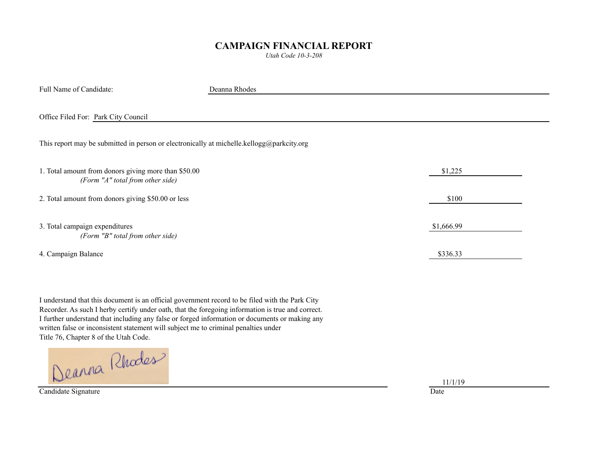## **CAMPAIGN FINANCIAL REPORT**

*Utah Code 10-3-208*

Full Name of Candidate: Deanna Rhodes

Office Filed For: Park City Council

This report may be submitted in person or electronically at michelle.kellogg@parkcity.org

| \$1,225    |  |  |
|------------|--|--|
|            |  |  |
| \$100      |  |  |
|            |  |  |
| \$1,666.99 |  |  |
|            |  |  |
| \$336.33   |  |  |
|            |  |  |

I understand that this document is an official government record to be filed with the Park City Recorder. As such I herby certify under oath, that the foregoing information is true and correct. I further understand that including any false or forged information or documents or making any written false or inconsistent statement will subject me to criminal penalties under

Title 76, Chapter 8 of the Utah Code.

Candidate Signature Date

11/1/19